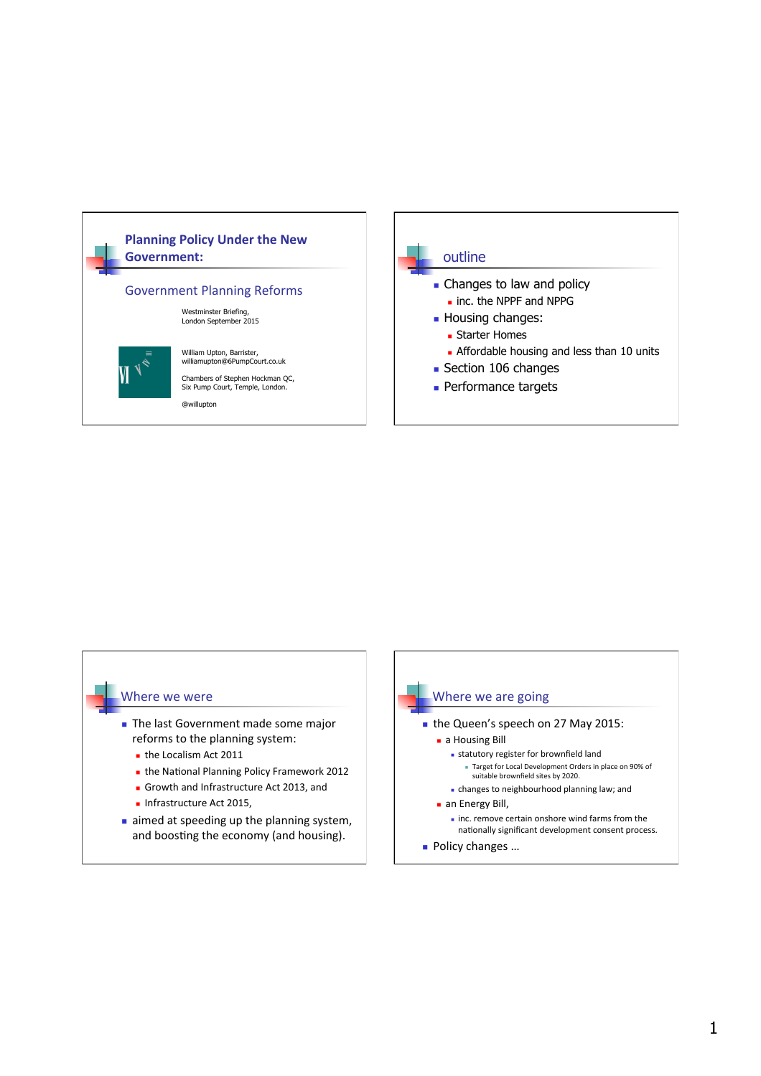



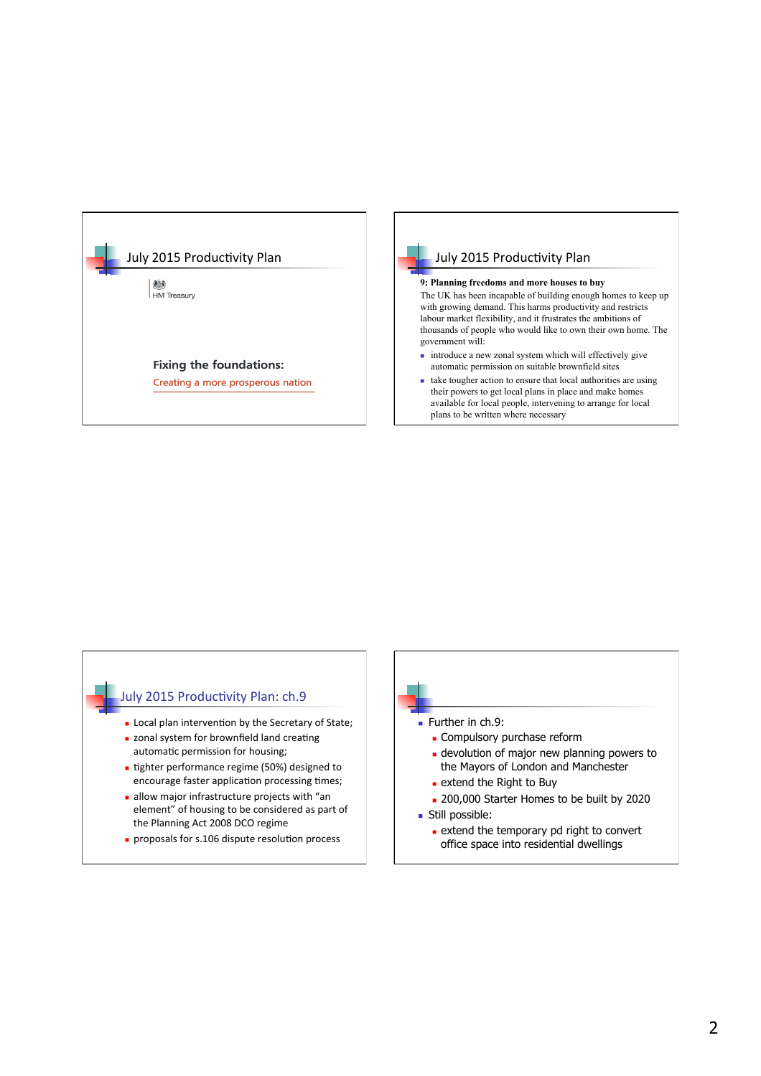

# **9: Planning freedoms and more houses to buy**  The UK has been incapable of building enough homes to keep up with growing demand. This harms productivity and restricts labour market flexibility, and it frustrates the ambitions of thousands of people who would like to own their own home. The government will:

- $\blacksquare$  introduce a new zonal system which will effectively give automatic permission on suitable brownfield sites
- $\blacksquare$  take tougher action to ensure that local authorities are using their powers to get local plans in place and make homes available for local people, intervening to arrange for local plans to be written where necessary

#### July 2015 Productivity Plan: ch.9

- **n** Local plan intervention by the Secretary of State;
- n zonal system for brownfield land creating automatic permission for housing;
- tighter performance regime (50%) designed to encourage faster application processing times;
- $\blacksquare$  allow major infrastructure projects with "an element" of housing to be considered as part of the Planning Act 2008 DCO regime
- $p$  proposals for s.106 dispute resolution process



- $e$  extend the Right to Buy
- 
- 200,000 Starter Homes to be built by 2020
- **n** Still possible:
	- **Extend the temporary pd right to convert** office space into residential dwellings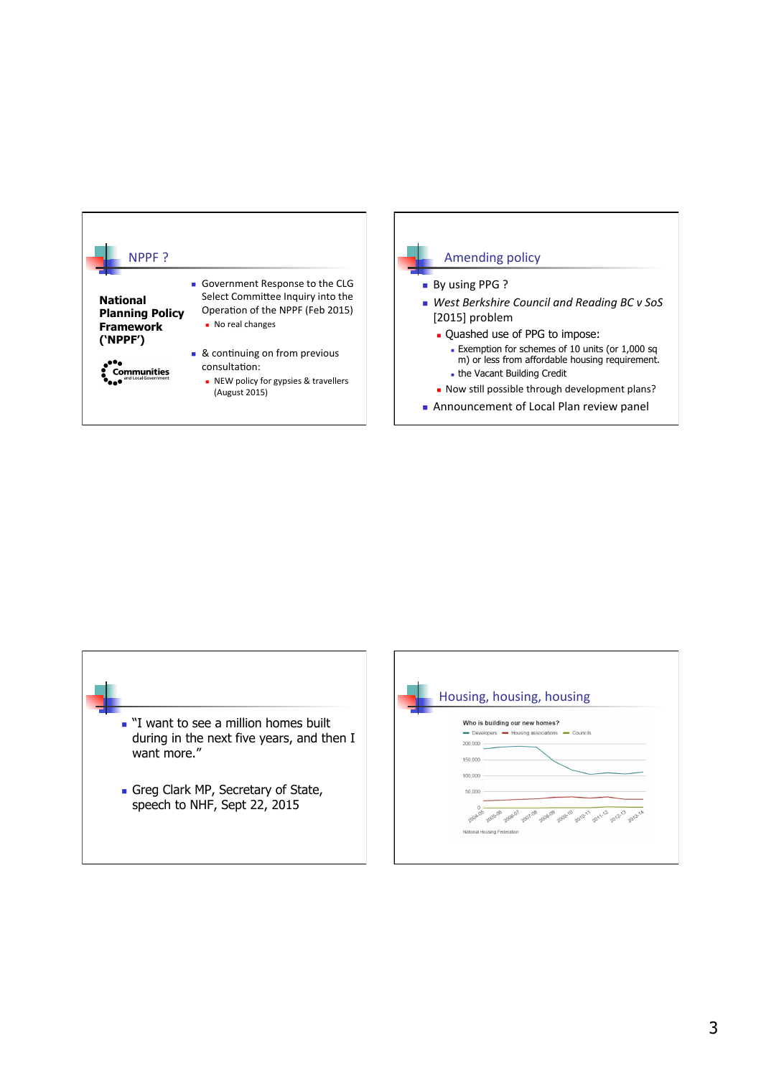



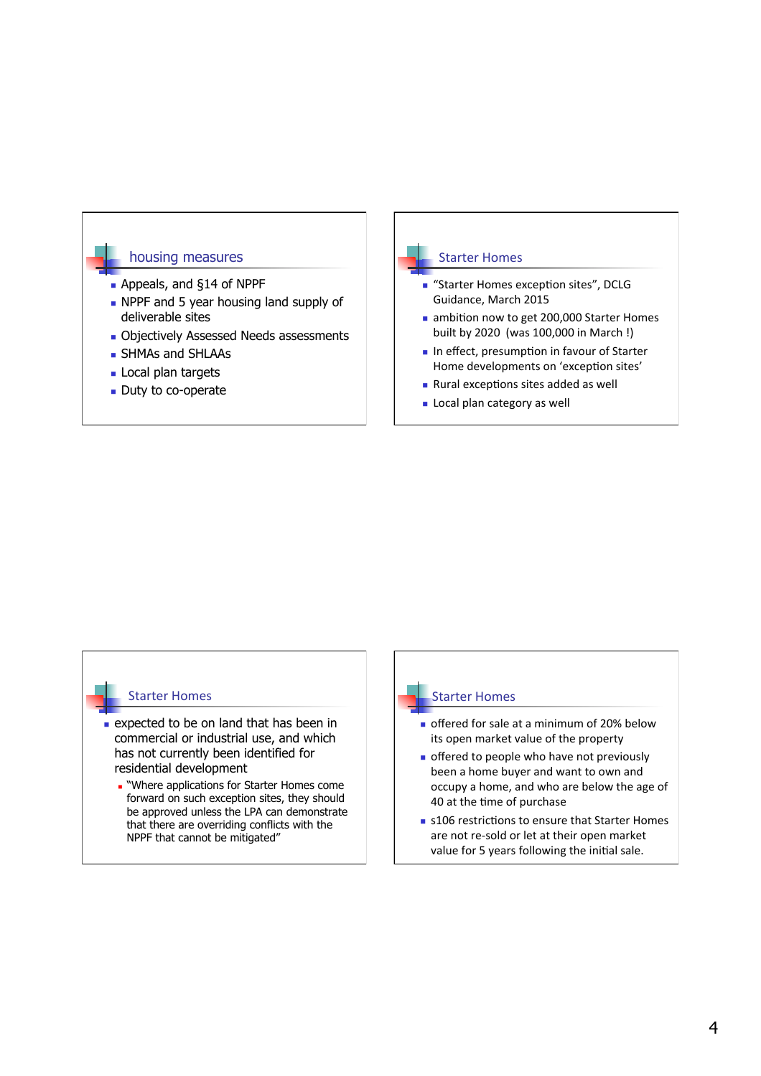

#### **Starter Homes**

- **n** "Starter Homes exception sites", DCLG Guidance, March 2015
- n ambition now to get 200,000 Starter Homes built by 2020 (was 100,000 in March!)
- $\blacksquare$  In effect, presumption in favour of Starter Home developments on 'exception sites'
- $\blacksquare$  Rural exceptions sites added as well
- **Executed Local plan category as well**

#### **Starter Homes**

- $\blacksquare$  expected to be on land that has been in commercial or industrial use, and which has not currently been identified for residential development
	- **n** "Where applications for Starter Homes come forward on such exception sites, they should be approved unless the LPA can demonstrate that there are overriding conflicts with the NPPF that cannot be mitigated"

### **Starter Homes**

- n offered for sale at a minimum of 20% below its open market value of the property
- $\blacksquare$  offered to people who have not previously been a home buyer and want to own and occupy a home, and who are below the age of 40 at the time of purchase
- $\blacksquare$  s106 restrictions to ensure that Starter Homes are not re-sold or let at their open market value for 5 years following the initial sale.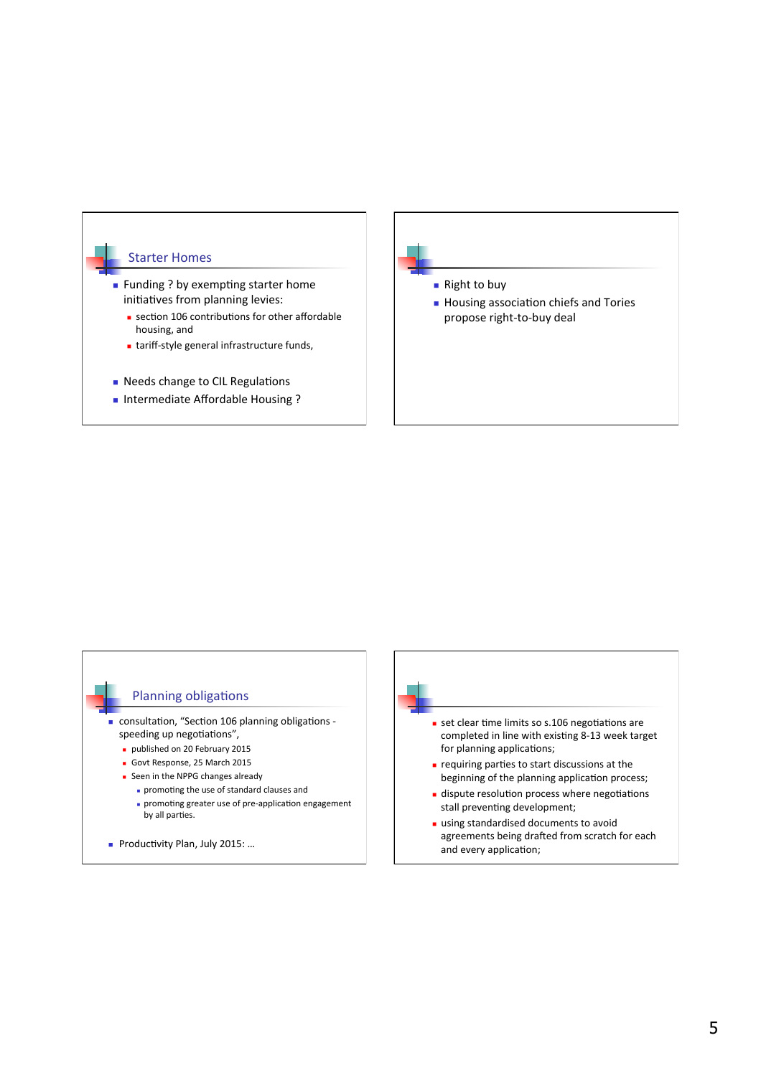

n Intermediate Affordable Housing?

- $\blacksquare$  Right to buy
- $\blacksquare$  Housing association chiefs and Tories propose right-to-buy deal

## Planning obligations

- $\blacksquare$  consultation, "Section 106 planning obligations speeding up negotiations",
	- **published on 20 February 2015**
	- Govt Response, 25 March 2015
	- **n** Seen in the NPPG changes already
		- n promoting the use of standard clauses and
	- n promoting greater use of pre-application engagement by all parties.
- n Productivity Plan, July 2015: ...



- stall preventing development; **using standardised documents to avoid**
- agreements being drafted from scratch for each and every application;